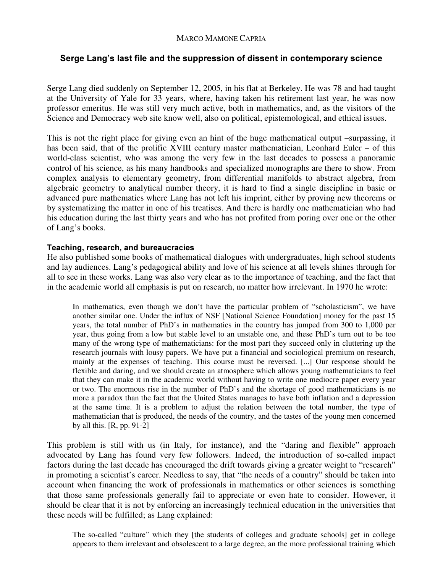# Serge Lang's last file and the suppression of dissent in contemporary science

Serge Lang died suddenly on September 12, 2005, in his flat at Berkeley. He was 78 and had taught at the University of Yale for 33 years, where, having taken his retirement last year, he was now professor emeritus. He was still very much active, both in mathematics, and, as the visitors of the Science and Democracy web site know well, also on political, epistemological, and ethical issues.

This is not the right place for giving even an hint of the huge mathematical output –surpassing, it has been said, that of the prolific XVIII century master mathematician, Leonhard Euler – of this world-class scientist, who was among the very few in the last decades to possess a panoramic control of his science, as his many handbooks and specialized monographs are there to show. From complex analysis to elementary geometry, from differential manifolds to abstract algebra, from algebraic geometry to analytical number theory, it is hard to find a single discipline in basic or advanced pure mathematics where Lang has not left his imprint, either by proving new theorems or by systematizing the matter in one of his treatises. And there is hardly one mathematician who had his education during the last thirty years and who has not profited from poring over one or the other of Lang's books.

### Teaching, research, and bureaucracies

He also published some books of mathematical dialogues with undergraduates, high school students and lay audiences. Lang's pedagogical ability and love of his science at all levels shines through for all to see in these works. Lang was also very clear as to the importance of teaching, and the fact that in the academic world all emphasis is put on research, no matter how irrelevant. In 1970 he wrote:

In mathematics, even though we don't have the particular problem of "scholasticism", we have another similar one. Under the influx of NSF [National Science Foundation] money for the past 15 years, the total number of PhD's in mathematics in the country has jumped from 300 to 1,000 per year, thus going from a low but stable level to an unstable one, and these PhD's turn out to be too many of the wrong type of mathematicians: for the most part they succeed only in cluttering up the research journals with lousy papers. We have put a financial and sociological premium on research, mainly at the expenses of teaching. This course must be reversed. [...] Our response should be flexible and daring, and we should create an atmosphere which allows young mathematicians to feel that they can make it in the academic world without having to write one mediocre paper every year or two. The enormous rise in the number of PhD's and the shortage of good mathematicians is no more a paradox than the fact that the United States manages to have both inflation and a depression at the same time. It is a problem to adjust the relation between the total number, the type of mathematician that is produced, the needs of the country, and the tastes of the young men concerned by all this. [R, pp. 91-2]

This problem is still with us (in Italy, for instance), and the "daring and flexible" approach advocated by Lang has found very few followers. Indeed, the introduction of so-called impact factors during the last decade has encouraged the drift towards giving a greater weight to "research" in promoting a scientist's career. Needless to say, that "the needs of a country" should be taken into account when financing the work of professionals in mathematics or other sciences is something that those same professionals generally fail to appreciate or even hate to consider. However, it should be clear that it is not by enforcing an increasingly technical education in the universities that these needs will be fulfilled; as Lang explained:

The so-called "culture" which they [the students of colleges and graduate schools] get in college appears to them irrelevant and obsolescent to a large degree, an the more professional training which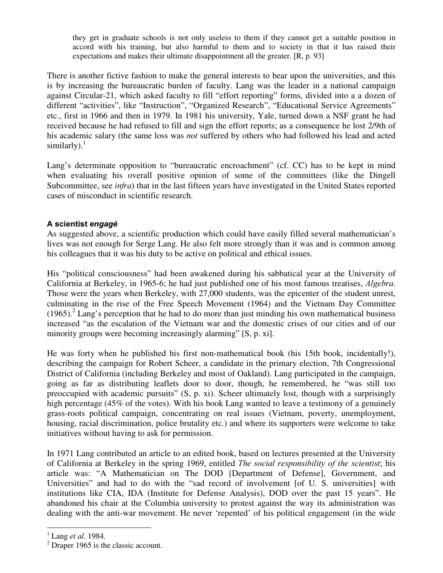they get in graduate schools is not only useless to them if they cannot get a suitable position in accord with his training, but also harmful to them and to society in that it has raised their expectations and makes their ultimate disappointment all the greater. [R, p. 93]

There is another fictive fashion to make the general interests to bear upon the universities, and this is by increasing the bureaucratic burden of faculty. Lang was the leader in a national campaign against Circular-21, which asked faculty to fill "effort reporting" forms, divided into a a dozen of different "activities", like "Instruction", "Organized Research", "Educational Service Agreements" etc., first in 1966 and then in 1979. In 1981 his university, Yale, turned down a NSF grant he had received because he had refused to fill and sign the effort reports; as a consequence he lost 2/9th of his academic salary (the same loss was *not* suffered by others who had followed his lead and acted similarly). $1$ 

Lang's determinate opposition to "bureaucratic encroachment" (cf. CC) has to be kept in mind when evaluating his overall positive opinion of some of the committees (like the Dingell Subcommittee, see *infra*) that in the last fifteen years have investigated in the United States reported cases of misconduct in scientific research.

## A scientist engagé

As suggested above, a scientific production which could have easily filled several mathematician's lives was not enough for Serge Lang. He also felt more strongly than it was and is common among his colleagues that it was his duty to be active on political and ethical issues.

His "political consciousness" had been awakened during his sabbatical year at the University of California at Berkeley, in 1965-6; he had just published one of his most famous treatises, *Algebra*. Those were the years when Berkeley, with 27,000 students, was the epicenter of the student unrest, culminating in the rise of the Free Speech Movement (1964) and the Vietnam Day Committee  $(1965).$ <sup>2</sup> Lang's perception that he had to do more than just minding his own mathematical business increased "as the escalation of the Vietnam war and the domestic crises of our cities and of our minority groups were becoming increasingly alarming" [S, p. xi].

He was forty when he published his first non-mathematical book (his 15th book, incidentally!), describing the campaign for Robert Scheer, a candidate in the primary election, 7th Congressional District of California (including Berkeley and most of Oakland). Lang participated in the campaign, going as far as distributing leaflets door to door, though, he remembered, he "was still too preoccupied with academic pursuits" (S, p. xi). Scheer ultimately lost, though with a surprisingly high percentage (45% of the votes). With his book Lang wanted to leave a testimony of a genuinely grass-roots political campaign, concentrating on real issues (Vietnam, poverty, unemployment, housing, racial discrimination, police brutality etc.) and where its supporters were welcome to take initiatives without having to ask for permission.

In 1971 Lang contributed an article to an edited book, based on lectures presented at the University of California at Berkeley in the spring 1969, entitled *The social responsibility of the scientist*; his article was: "A Mathematician on The DOD [Department of Defense], Government, and Universities" and had to do with the "sad record of involvement [of U. S. universities] with institutions like CIA, IDA (Institute for Defense Analysis), DOD over the past 15 years". He abandoned his chair at the Columbia university to protest against the way its administration was dealing with the anti-war movement. He never 'repented' of his political engagement (in the wide

 $\overline{a}$ 

 $<sup>1</sup>$  Lang *et al.* 1984.</sup>

 $2$  Draper 1965 is the classic account.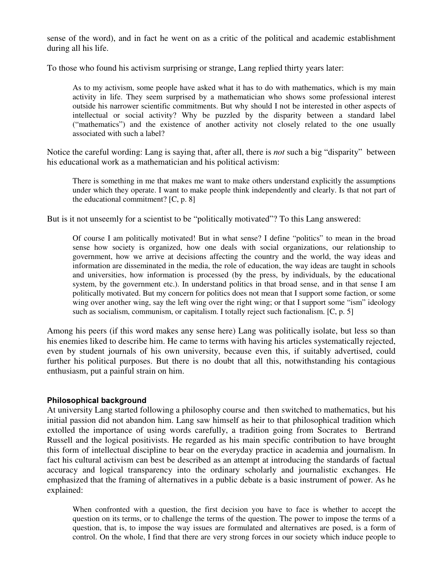sense of the word), and in fact he went on as a critic of the political and academic establishment during all his life.

To those who found his activism surprising or strange, Lang replied thirty years later:

As to my activism, some people have asked what it has to do with mathematics, which is my main activity in life. They seem surprised by a mathematician who shows some professional interest outside his narrower scientific commitments. But why should I not be interested in other aspects of intellectual or social activity? Why be puzzled by the disparity between a standard label ("mathematics") and the existence of another activity not closely related to the one usually associated with such a label?

Notice the careful wording: Lang is saying that, after all, there is *not* such a big "disparity" between his educational work as a mathematician and his political activism:

There is something in me that makes me want to make others understand explicitly the assumptions under which they operate. I want to make people think independently and clearly. Is that not part of the educational commitment? [C, p. 8]

But is it not unseemly for a scientist to be "politically motivated"? To this Lang answered:

Of course I am politically motivated! But in what sense? I define "politics" to mean in the broad sense how society is organized, how one deals with social organizations, our relationship to government, how we arrive at decisions affecting the country and the world, the way ideas and information are disseminated in the media, the role of education, the way ideas are taught in schools and universities, how information is processed (by the press, by individuals, by the educational system, by the government etc.). In understand politics in that broad sense, and in that sense I am politically motivated. But my concern for politics does not mean that I support some faction, or some wing over another wing, say the left wing over the right wing; or that I support some "ism" ideology such as socialism, communism, or capitalism. I totally reject such factionalism. [C, p. 5]

Among his peers (if this word makes any sense here) Lang was politically isolate, but less so than his enemies liked to describe him. He came to terms with having his articles systematically rejected, even by student journals of his own university, because even this, if suitably advertised, could further his political purposes. But there is no doubt that all this, notwithstanding his contagious enthusiasm, put a painful strain on him.

#### Philosophical background

At university Lang started following a philosophy course and then switched to mathematics, but his initial passion did not abandon him. Lang saw himself as heir to that philosophical tradition which extolled the importance of using words carefully, a tradition going from Socrates to Bertrand Russell and the logical positivists. He regarded as his main specific contribution to have brought this form of intellectual discipline to bear on the everyday practice in academia and journalism. In fact his cultural activism can best be described as an attempt at introducing the standards of factual accuracy and logical transparency into the ordinary scholarly and journalistic exchanges. He emphasized that the framing of alternatives in a public debate is a basic instrument of power. As he explained:

When confronted with a question, the first decision you have to face is whether to accept the question on its terms, or to challenge the terms of the question. The power to impose the terms of a question, that is, to impose the way issues are formulated and alternatives are posed, is a form of control. On the whole, I find that there are very strong forces in our society which induce people to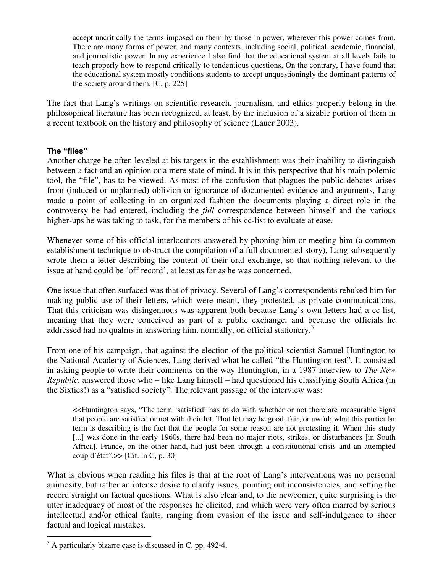accept uncritically the terms imposed on them by those in power, wherever this power comes from. There are many forms of power, and many contexts, including social, political, academic, financial, and journalistic power. In my experience I also find that the educational system at all levels fails to teach properly how to respond critically to tendentious questions, On the contrary, I have found that the educational system mostly conditions students to accept unquestioningly the dominant patterns of the society around them. [C, p. 225]

The fact that Lang's writings on scientific research, journalism, and ethics properly belong in the philosophical literature has been recognized, at least, by the inclusion of a sizable portion of them in a recent textbook on the history and philosophy of science (Lauer 2003).

### The "files"

Another charge he often leveled at his targets in the establishment was their inability to distinguish between a fact and an opinion or a mere state of mind. It is in this perspective that his main polemic tool, the "file", has to be viewed. As most of the confusion that plagues the public debates arises from (induced or unplanned) oblivion or ignorance of documented evidence and arguments, Lang made a point of collecting in an organized fashion the documents playing a direct role in the controversy he had entered, including the *full* correspondence between himself and the various higher-ups he was taking to task, for the members of his cc-list to evaluate at ease.

Whenever some of his official interlocutors answered by phoning him or meeting him (a common establishment technique to obstruct the compilation of a full documented story), Lang subsequently wrote them a letter describing the content of their oral exchange, so that nothing relevant to the issue at hand could be 'off record', at least as far as he was concerned.

One issue that often surfaced was that of privacy. Several of Lang's correspondents rebuked him for making public use of their letters, which were meant, they protested, as private communications. That this criticism was disingenuous was apparent both because Lang's own letters had a cc-list, meaning that they were conceived as part of a public exchange, and because the officials he addressed had no qualms in answering him. normally, on official stationery.<sup>3</sup>

From one of his campaign, that against the election of the political scientist Samuel Huntington to the National Academy of Sciences, Lang derived what he called "the Huntington test". It consisted in asking people to write their comments on the way Huntington, in a 1987 interview to The New  $Republic$ , answered those who – like Lang himself – had questioned his classifying South Africa (in the Sixties!) as a "satisfied society". The relevant passage of the interview was:

<<Huntington says, "The term 'satisfied' has to do with whether or not there are measurable signs that people are satisfied or not with their lot. That lot may be good, fair, or awful; what this particular term is describing is the fact that the people for some reason are not protesting it. When this study [...] was done in the early 1960s, there had been no major riots, strikes, or disturbances [in South] Africa]. France, on the other hand, had just been through a constitutional crisis and an attempted coup d'état".>> [Cit. in C, p. 30]

What is obvious when reading his files is that at the root of Lang's interventions was no personal animosity, but rather an intense desire to clarify issues, pointing out inconsistencies, and setting the record straight on factual questions. What is also clear and, to the newcomer, quite surprising is the utter inadequacy of most of the responses he elicited, and which were very often marred by serious intellectual and/or ethical faults, ranging from evasion of the issue and self-indulgence to sheer factual and logical mistakes.

<sup>&</sup>lt;sup>3</sup> A particularly bizarre case is discussed in C, pp. 492-4.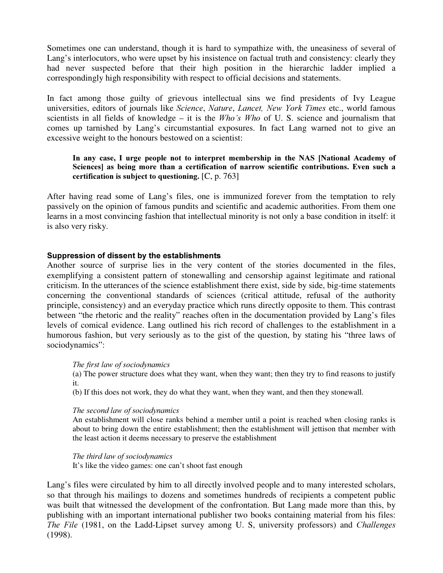Sometimes one can understand, though it is hard to sympathize with, the uneasiness of several of Lang's interlocutors, who were upset by his insistence on factual truth and consistency: clearly they had never suspected before that their high position in the hierarchic ladder implied a correspondingly high responsibility with respect to official decisions and statements.

In fact among those guilty of grievous intellectual sins we find presidents of Ivy League universities, editors of journals like *Science, Nature, Lancet, New York Times* etc., world famous scientists in all fields of knowledge – it is the  $Who's Who$  of U. S. science and journalism that comes up tarnished by Lang's circumstantial exposures. In fact Lang warned not to give an excessive weight to the honours bestowed on a scientist:

### In any case, I urge people not to interpret membership in the NAS [National Academy of Sciences] as being more than a certification of narrow scientific contributions. Even such a certification is subject to questioning.  $[C, p. 763]$

After having read some of Lang's files, one is immunized forever from the temptation to rely passively on the opinion of famous pundits and scientific and academic authorities. From them one learns in a most convincing fashion that intellectual minority is not only a base condition in itself: it is also very risky.

### Suppression of dissent by the establishments

Another source of surprise lies in the very content of the stories documented in the files, exemplifying a consistent pattern of stonewalling and censorship against legitimate and rational criticism. In the utterances of the science establishment there exist, side by side, big-time statements concerning the conventional standards of sciences (critical attitude, refusal of the authority principle, consistency) and an everyday practice which runs directly opposite to them. This contrast between "the rhetoric and the reality" reaches often in the documentation provided by Lang's files levels of comical evidence. Lang outlined his rich record of challenges to the establishment in a humorous fashion, but very seriously as to the gist of the question, by stating his "three laws of sociodynamics":

### The first law of sociodynamics

(a) The power structure does what they want, when they want; then they try to find reasons to justify it.

(b) If this does not work, they do what they want, when they want, and then they stonewall.

### The second law of sociodynamics

An establishment will close ranks behind a member until a point is reached when closing ranks is about to bring down the entire establishment; then the establishment will jettison that member with the least action it deems necessary to preserve the establishment

#### The third law of sociodynamics

It's like the video games: one can't shoot fast enough

Lang's files were circulated by him to all directly involved people and to many interested scholars, so that through his mailings to dozens and sometimes hundreds of recipients a competent public was built that witnessed the development of the confrontation. But Lang made more than this, by publishing with an important international publisher two books containing material from his files: The File (1981, on the Ladd-Lipset survey among U. S, university professors) and Challenges (1998).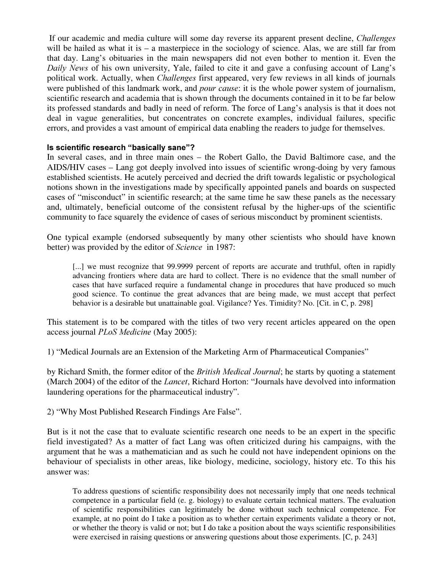If our academic and media culture will some day reverse its apparent present decline, *Challenges* will be hailed as what it is – a masterpiece in the sociology of science. Alas, we are still far from that day. Lang's obituaries in the main newspapers did not even bother to mention it. Even the Daily News of his own university, Yale, failed to cite it and gave a confusing account of Lang's political work. Actually, when *Challenges* first appeared, very few reviews in all kinds of journals were published of this landmark work, and *pour cause*: it is the whole power system of journalism, scientific research and academia that is shown through the documents contained in it to be far below its professed standards and badly in need of reform. The force of Lang's analysis is that it does not deal in vague generalities, but concentrates on concrete examples, individual failures, specific errors, and provides a vast amount of empirical data enabling the readers to judge for themselves.

### Is scientific research "basically sane"?

In several cases, and in three main ones – the Robert Gallo, the David Baltimore case, and the AIDS/HIV cases – Lang got deeply involved into issues of scientific wrong-doing by very famous established scientists. He acutely perceived and decried the drift towards legalistic or psychological notions shown in the investigations made by specifically appointed panels and boards on suspected cases of "misconduct" in scientific research; at the same time he saw these panels as the necessary and, ultimately, beneficial outcome of the consistent refusal by the higher-ups of the scientific community to face squarely the evidence of cases of serious misconduct by prominent scientists.

One typical example (endorsed subsequently by many other scientists who should have known better) was provided by the editor of *Science* in 1987:

[...] we must recognize that 99.9999 percent of reports are accurate and truthful, often in rapidly advancing frontiers where data are hard to collect. There is no evidence that the small number of cases that have surfaced require a fundamental change in procedures that have produced so much good science. To continue the great advances that are being made, we must accept that perfect behavior is a desirable but unattainable goal. Vigilance? Yes. Timidity? No. [Cit. in C, p. 298]

This statement is to be compared with the titles of two very recent articles appeared on the open access journal *PLoS Medicine* (May 2005):

1) "Medical Journals are an Extension of the Marketing Arm of Pharmaceutical Companies"

by Richard Smith, the former editor of the *British Medical Journal*; he starts by quoting a statement (March 2004) of the editor of the *Lancet*, Richard Horton: "Journals have devolved into information laundering operations for the pharmaceutical industry".

2) "Why Most Published Research Findings Are False".

But is it not the case that to evaluate scientific research one needs to be an expert in the specific field investigated? As a matter of fact Lang was often criticized during his campaigns, with the argument that he was a mathematician and as such he could not have independent opinions on the behaviour of specialists in other areas, like biology, medicine, sociology, history etc. To this his answer was:

To address questions of scientific responsibility does not necessarily imply that one needs technical competence in a particular field (e. g. biology) to evaluate certain technical matters. The evaluation of scientific responsibilities can legitimately be done without such technical competence. For example, at no point do I take a position as to whether certain experiments validate a theory or not, or whether the theory is valid or not; but I do take a position about the ways scientific responsibilities were exercised in raising questions or answering questions about those experiments. [C, p. 243]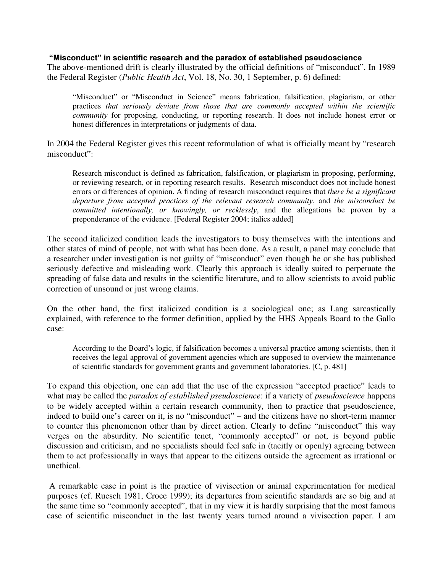#### "Misconduct" in scientific research and the paradox of established pseudoscience

The above-mentioned drift is clearly illustrated by the official definitions of "misconduct". In 1989 the Federal Register (*Public Health Act*, Vol. 18, No. 30, 1 September, p. 6) defined:

"Misconduct" or "Misconduct in Science" means fabrication, falsification, plagiarism, or other practices that seriously deviate from those that are commonly accepted within the scientific community for proposing, conducting, or reporting research. It does not include honest error or honest differences in interpretations or judgments of data.

In 2004 the Federal Register gives this recent reformulation of what is officially meant by "research misconduct":

Research misconduct is defined as fabrication, falsification, or plagiarism in proposing, performing, or reviewing research, or in reporting research results. Research misconduct does not include honest errors or differences of opinion. A finding of research misconduct requires that *there be a significant* departure from accepted practices of the relevant research community, and the misconduct be committed intentionally, or knowingly, or recklessly, and the allegations be proven by a preponderance of the evidence. [Federal Register 2004; italics added]

The second italicized condition leads the investigators to busy themselves with the intentions and other states of mind of people, not with what has been done. As a result, a panel may conclude that a researcher under investigation is not guilty of "misconduct" even though he or she has published seriously defective and misleading work. Clearly this approach is ideally suited to perpetuate the spreading of false data and results in the scientific literature, and to allow scientists to avoid public correction of unsound or just wrong claims.

On the other hand, the first italicized condition is a sociological one; as Lang sarcastically explained, with reference to the former definition, applied by the HHS Appeals Board to the Gallo case:

According to the Board's logic, if falsification becomes a universal practice among scientists, then it receives the legal approval of government agencies which are supposed to overview the maintenance of scientific standards for government grants and government laboratories. [C, p. 481]

To expand this objection, one can add that the use of the expression "accepted practice" leads to what may be called the paradox of established pseudoscience: if a variety of pseudoscience happens to be widely accepted within a certain research community, then to practice that pseudoscience, indeed to build one's career on it, is no "misconduct" – and the citizens have no short-term manner to counter this phenomenon other than by direct action. Clearly to define "misconduct" this way verges on the absurdity. No scientific tenet, "commonly accepted" or not, is beyond public discussion and criticism, and no specialists should feel safe in (tacitly or openly) agreeing between them to act professionally in ways that appear to the citizens outside the agreement as irrational or unethical.

 A remarkable case in point is the practice of vivisection or animal experimentation for medical purposes (cf. Ruesch 1981, Croce 1999); its departures from scientific standards are so big and at the same time so "commonly accepted", that in my view it is hardly surprising that the most famous case of scientific misconduct in the last twenty years turned around a vivisection paper. I am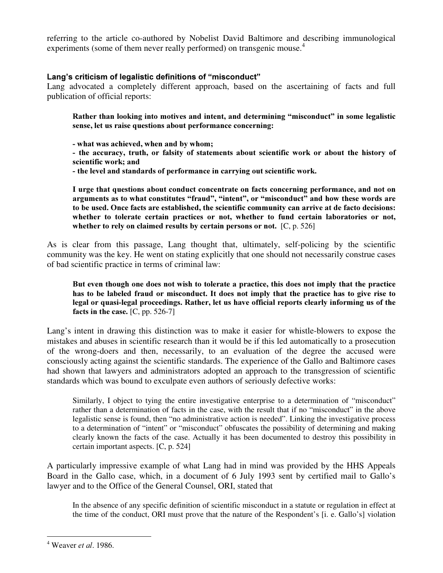referring to the article co-authored by Nobelist David Baltimore and describing immunological experiments (some of them never really performed) on transgenic mouse.<sup>4</sup>

## Lang's criticism of legalistic definitions of "misconduct"

Lang advocated a completely different approach, based on the ascertaining of facts and full publication of official reports:

Rather than looking into motives and intent, and determining "misconduct" in some legalistic sense, let us raise questions about performance concerning:

- what was achieved, when and by whom;

- the accuracy, truth, or falsity of statements about scientific work or about the history of scientific work: and

- the level and standards of performance in carrying out scientific work.

I urge that questions about conduct concentrate on facts concerning performance, and not on arguments as to what constitutes "fraud", "intent", or "misconduct" and how these words are to be used. Once facts are established, the scientific community can arrive at de facto decisions: whether to tolerate certain practices or not, whether to fund certain laboratories or not, whether to rely on claimed results by certain persons or not.  $[C, p. 526]$ 

As is clear from this passage, Lang thought that, ultimately, self-policing by the scientific community was the key. He went on stating explicitly that one should not necessarily construe cases of bad scientific practice in terms of criminal law:

#### But even though one does not wish to tolerate a practice, this does not imply that the practice has to be labeled fraud or misconduct. It does not imply that the practice has to give rise to legal or quasi-legal proceedings. Rather, let us have official reports clearly informing us of the facts in the case.  $[C, pp. 526-7]$

Lang's intent in drawing this distinction was to make it easier for whistle-blowers to expose the mistakes and abuses in scientific research than it would be if this led automatically to a prosecution of the wrong-doers and then, necessarily, to an evaluation of the degree the accused were consciously acting against the scientific standards. The experience of the Gallo and Baltimore cases had shown that lawyers and administrators adopted an approach to the transgression of scientific standards which was bound to exculpate even authors of seriously defective works:

Similarly, I object to tying the entire investigative enterprise to a determination of "misconduct" rather than a determination of facts in the case, with the result that if no "misconduct" in the above legalistic sense is found, then "no administrative action is needed". Linking the investigative process to a determination of "intent" or "misconduct" obfuscates the possibility of determining and making clearly known the facts of the case. Actually it has been documented to destroy this possibility in certain important aspects. [C, p. 524]

A particularly impressive example of what Lang had in mind was provided by the HHS Appeals Board in the Gallo case, which, in a document of 6 July 1993 sent by certified mail to Gallo's lawyer and to the Office of the General Counsel, ORI, stated that

In the absence of any specific definition of scientific misconduct in a statute or regulation in effect at the time of the conduct, ORI must prove that the nature of the Respondent's [i. e. Gallo's] violation

 $4$  Weaver *et al.* 1986.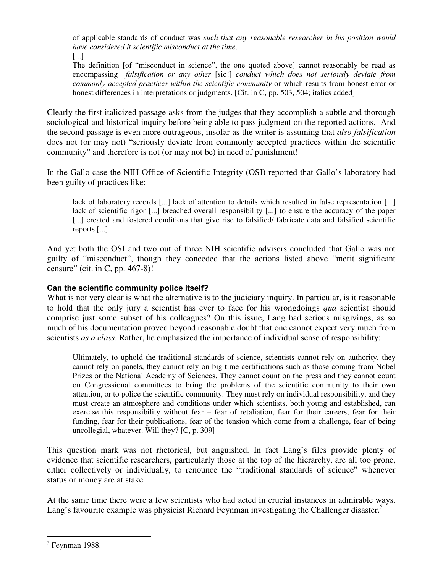of applicable standards of conduct was *such that any reasonable researcher in his position would* have considered it scientific misconduct at the time.

[...]

The definition [of "misconduct in science", the one quoted above] cannot reasonably be read as encompassing *falsification or any other* [sic!] *conduct which does not seriously deviate from* commonly accepted practices within the scientific community or which results from honest error or honest differences in interpretations or judgments. [Cit. in C, pp. 503, 504; italics added]

Clearly the first italicized passage asks from the judges that they accomplish a subtle and thorough sociological and historical inquiry before being able to pass judgment on the reported actions. And the second passage is even more outrageous, insofar as the writer is assuming that *also falsification* does not (or may not) "seriously deviate from commonly accepted practices within the scientific community" and therefore is not (or may not be) in need of punishment!

In the Gallo case the NIH Office of Scientific Integrity (OSI) reported that Gallo's laboratory had been guilty of practices like:

lack of laboratory records [...] lack of attention to details which resulted in false representation [...] lack of scientific rigor [...] breached overall responsibility [...] to ensure the accuracy of the paper [...] created and fostered conditions that give rise to falsified/ fabricate data and falsified scientific reports [...]

And yet both the OSI and two out of three NIH scientific advisers concluded that Gallo was not guilty of "misconduct", though they conceded that the actions listed above "merit significant censure" (cit. in C, pp. 467-8)!

## Can the scientific community police itself?

What is not very clear is what the alternative is to the judiciary inquiry. In particular, is it reasonable to hold that the only jury a scientist has ever to face for his wrongdoings qua scientist should comprise just some subset of his colleagues? On this issue, Lang had serious misgivings, as so much of his documentation proved beyond reasonable doubt that one cannot expect very much from scientists *as a class*. Rather, he emphasized the importance of individual sense of responsibility:

Ultimately, to uphold the traditional standards of science, scientists cannot rely on authority, they cannot rely on panels, they cannot rely on big-time certifications such as those coming from Nobel Prizes or the National Academy of Sciences. They cannot count on the press and they cannot count on Congressional committees to bring the problems of the scientific community to their own attention, or to police the scientific community. They must rely on individual responsibility, and they must create an atmosphere and conditions under which scientists, both young and established, can exercise this responsibility without fear – fear of retaliation, fear for their careers, fear for their funding, fear for their publications, fear of the tension which come from a challenge, fear of being uncollegial, whatever. Will they? [C, p. 309]

This question mark was not rhetorical, but anguished. In fact Lang's files provide plenty of evidence that scientific researchers, particularly those at the top of the hierarchy, are all too prone, either collectively or individually, to renounce the "traditional standards of science" whenever status or money are at stake.

At the same time there were a few scientists who had acted in crucial instances in admirable ways. Lang's favourite example was physicist Richard Feynman investigating the Challenger disaster.<sup>5</sup>

<sup>&</sup>lt;sup>5</sup> Feynman 1988.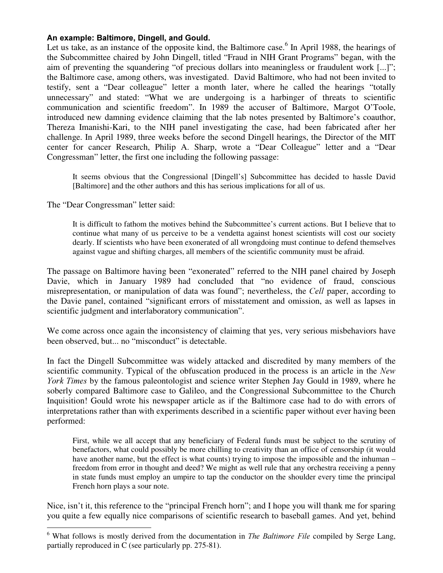### An example: Baltimore, Dingell, and Gould.

Let us take, as an instance of the opposite kind, the Baltimore case.<sup>6</sup> In April 1988, the hearings of the Subcommittee chaired by John Dingell, titled "Fraud in NIH Grant Programs" began, with the aim of preventing the squandering "of precious dollars into meaningless or fraudulent work [...]"; the Baltimore case, among others, was investigated. David Baltimore, who had not been invited to testify, sent a "Dear colleague" letter a month later, where he called the hearings "totally unnecessary" and stated: "What we are undergoing is a harbinger of threats to scientific communication and scientific freedom". In 1989 the accuser of Baltimore, Margot O'Toole, introduced new damning evidence claiming that the lab notes presented by Baltimore's coauthor, Thereza Imanishi-Kari, to the NIH panel investigating the case, had been fabricated after her challenge. In April 1989, three weeks before the second Dingell hearings, the Director of the MIT center for cancer Research, Philip A. Sharp, wrote a "Dear Colleague" letter and a "Dear Congressman" letter, the first one including the following passage:

It seems obvious that the Congressional [Dingell's] Subcommittee has decided to hassle David [Baltimore] and the other authors and this has serious implications for all of us.

The "Dear Congressman" letter said:

It is difficult to fathom the motives behind the Subcommittee's current actions. But I believe that to continue what many of us perceive to be a vendetta against honest scientists will cost our society dearly. If scientists who have been exonerated of all wrongdoing must continue to defend themselves against vague and shifting charges, all members of the scientific community must be afraid.

The passage on Baltimore having been "exonerated" referred to the NIH panel chaired by Joseph Davie, which in January 1989 had concluded that "no evidence of fraud, conscious misrepresentation, or manipulation of data was found"; nevertheless, the Cell paper, according to the Davie panel, contained "significant errors of misstatement and omission, as well as lapses in scientific judgment and interlaboratory communication".

We come across once again the inconsistency of claiming that yes, very serious misbehaviors have been observed, but... no "misconduct" is detectable.

In fact the Dingell Subcommittee was widely attacked and discredited by many members of the scientific community. Typical of the obfuscation produced in the process is an article in the New York Times by the famous paleontologist and science writer Stephen Jay Gould in 1989, where he soberly compared Baltimore case to Galileo, and the Congressional Subcommittee to the Church Inquisition! Gould wrote his newspaper article as if the Baltimore case had to do with errors of interpretations rather than with experiments described in a scientific paper without ever having been performed:

First, while we all accept that any beneficiary of Federal funds must be subject to the scrutiny of benefactors, what could possibly be more chilling to creativity than an office of censorship (it would have another name, but the effect is what counts) trying to impose the impossible and the inhuman – freedom from error in thought and deed? We might as well rule that any orchestra receiving a penny in state funds must employ an umpire to tap the conductor on the shoulder every time the principal French horn plays a sour note.

Nice, isn't it, this reference to the "principal French horn"; and I hope you will thank me for sparing you quite a few equally nice comparisons of scientific research to baseball games. And yet, behind

 $\overline{a}$  $6$  What follows is mostly derived from the documentation in *The Baltimore File* compiled by Serge Lang, partially reproduced in C (see particularly pp. 275-81).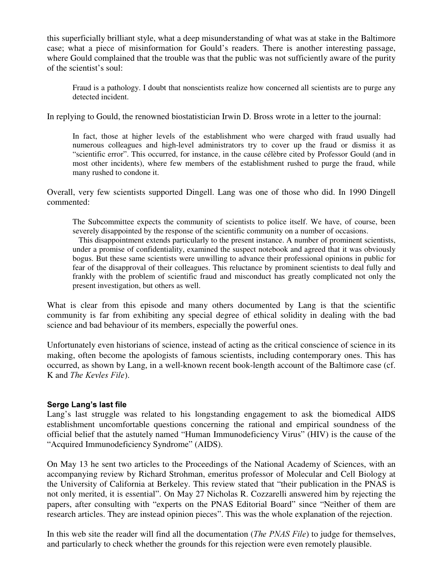this superficially brilliant style, what a deep misunderstanding of what was at stake in the Baltimore case; what a piece of misinformation for Gould's readers. There is another interesting passage, where Gould complained that the trouble was that the public was not sufficiently aware of the purity of the scientist's soul:

Fraud is a pathology. I doubt that nonscientists realize how concerned all scientists are to purge any detected incident.

In replying to Gould, the renowned biostatistician Irwin D. Bross wrote in a letter to the journal:

In fact, those at higher levels of the establishment who were charged with fraud usually had numerous colleagues and high-level administrators try to cover up the fraud or dismiss it as "scientific error". This occurred, for instance, in the cause célèbre cited by Professor Gould (and in most other incidents), where few members of the establishment rushed to purge the fraud, while many rushed to condone it.

Overall, very few scientists supported Dingell. Lang was one of those who did. In 1990 Dingell commented:

The Subcommittee expects the community of scientists to police itself. We have, of course, been severely disappointed by the response of the scientific community on a number of occasions.

 This disappointment extends particularly to the present instance. A number of prominent scientists, under a promise of confidentiality, examined the suspect notebook and agreed that it was obviously bogus. But these same scientists were unwilling to advance their professional opinions in public for fear of the disapproval of their colleagues. This reluctance by prominent scientists to deal fully and frankly with the problem of scientific fraud and misconduct has greatly complicated not only the present investigation, but others as well.

What is clear from this episode and many others documented by Lang is that the scientific community is far from exhibiting any special degree of ethical solidity in dealing with the bad science and bad behaviour of its members, especially the powerful ones.

Unfortunately even historians of science, instead of acting as the critical conscience of science in its making, often become the apologists of famous scientists, including contemporary ones. This has occurred, as shown by Lang, in a well-known recent book-length account of the Baltimore case (cf. K and The Kevles File).

### Serge Lang's last file

Lang's last struggle was related to his longstanding engagement to ask the biomedical AIDS establishment uncomfortable questions concerning the rational and empirical soundness of the official belief that the astutely named "Human Immunodeficiency Virus" (HIV) is the cause of the "Acquired Immunodeficiency Syndrome" (AIDS).

On May 13 he sent two articles to the Proceedings of the National Academy of Sciences, with an accompanying review by Richard Strohman, emeritus professor of Molecular and Cell Biology at the University of California at Berkeley. This review stated that "their publication in the PNAS is not only merited, it is essential". On May 27 Nicholas R. Cozzarelli answered him by rejecting the papers, after consulting with "experts on the PNAS Editorial Board" since "Neither of them are research articles. They are instead opinion pieces". This was the whole explanation of the rejection.

In this web site the reader will find all the documentation (*The PNAS File*) to judge for themselves, and particularly to check whether the grounds for this rejection were even remotely plausible.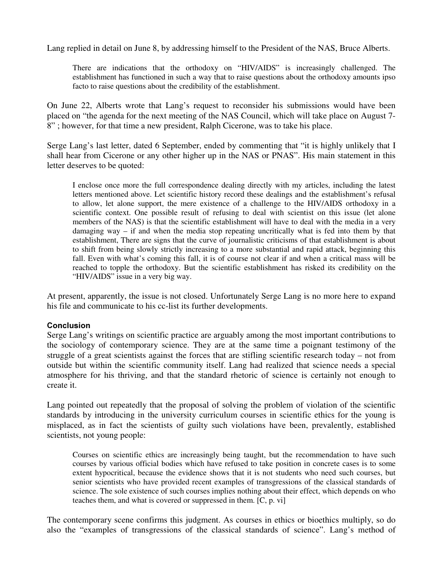Lang replied in detail on June 8, by addressing himself to the President of the NAS, Bruce Alberts.

There are indications that the orthodoxy on "HIV/AIDS" is increasingly challenged. The establishment has functioned in such a way that to raise questions about the orthodoxy amounts ipso facto to raise questions about the credibility of the establishment.

On June 22, Alberts wrote that Lang's request to reconsider his submissions would have been placed on "the agenda for the next meeting of the NAS Council, which will take place on August 7- 8" ; however, for that time a new president, Ralph Cicerone, was to take his place.

Serge Lang's last letter, dated 6 September, ended by commenting that "it is highly unlikely that I shall hear from Cicerone or any other higher up in the NAS or PNAS". His main statement in this letter deserves to be quoted:

I enclose once more the full correspondence dealing directly with my articles, including the latest letters mentioned above. Let scientific history record these dealings and the establishment's refusal to allow, let alone support, the mere existence of a challenge to the HIV/AIDS orthodoxy in a scientific context. One possible result of refusing to deal with scientist on this issue (let alone members of the NAS) is that the scientific establishment will have to deal with the media in a very damaging way – if and when the media stop repeating uncritically what is fed into them by that establishment, There are signs that the curve of journalistic criticisms of that establishment is about to shift from being slowly strictly increasing to a more substantial and rapid attack, beginning this fall. Even with what's coming this fall, it is of course not clear if and when a critical mass will be reached to topple the orthodoxy. But the scientific establishment has risked its credibility on the "HIV/AIDS" issue in a very big way.

At present, apparently, the issue is not closed. Unfortunately Serge Lang is no more here to expand his file and communicate to his cc-list its further developments.

### Conclusion

Serge Lang's writings on scientific practice are arguably among the most important contributions to the sociology of contemporary science. They are at the same time a poignant testimony of the struggle of a great scientists against the forces that are stifling scientific research today – not from outside but within the scientific community itself. Lang had realized that science needs a special atmosphere for his thriving, and that the standard rhetoric of science is certainly not enough to create it.

Lang pointed out repeatedly that the proposal of solving the problem of violation of the scientific standards by introducing in the university curriculum courses in scientific ethics for the young is misplaced, as in fact the scientists of guilty such violations have been, prevalently, established scientists, not young people:

Courses on scientific ethics are increasingly being taught, but the recommendation to have such courses by various official bodies which have refused to take position in concrete cases is to some extent hypocritical, because the evidence shows that it is not students who need such courses, but senior scientists who have provided recent examples of transgressions of the classical standards of science. The sole existence of such courses implies nothing about their effect, which depends on who teaches them, and what is covered or suppressed in them. [C, p. vi]

The contemporary scene confirms this judgment. As courses in ethics or bioethics multiply, so do also the "examples of transgressions of the classical standards of science". Lang's method of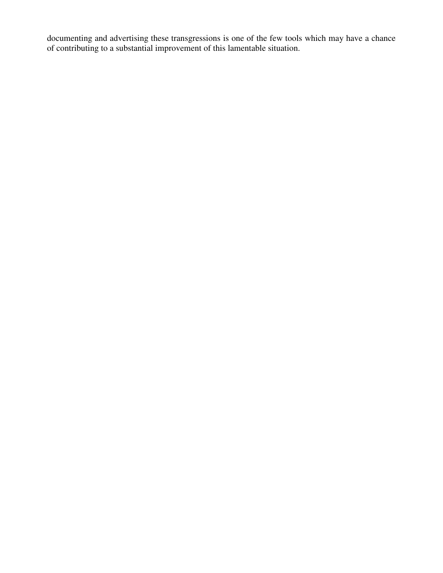documenting and advertising these transgressions is one of the few tools which may have a chance of contributing to a substantial improvement of this lamentable situation.